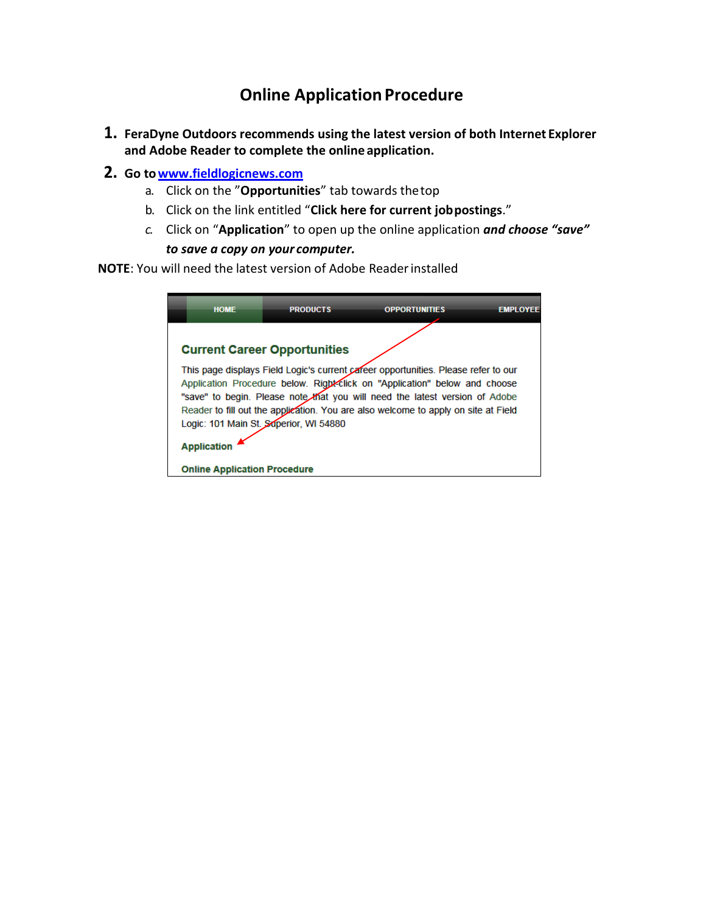## **Online Application Procedure**

- **1. FeraDyne Outdoors recommends using the latest version of both Internet Explorer and Adobe Reader to complete the online application.**
- **2. Go t[owww.fieldlogicnews.com](http://www.fieldlogicnews.com/)**
	- a. Click on the "**Opportunities**" tab towards thetop
	- b. Click on the link entitled "**Click here for current jobpostings**."
	- *c.* Click on "**Application**" to open up the online application *and choose "save" to save a copy on your computer.*

**NOTE**: You will need the latest version of Adobe Readerinstalled

| <b>HOME</b>                         | <b>PRODUCTS</b>                        | <b>OPPORTUNITIES</b>                                                                                                                                                                                                                                                                                                                  | <b>EMPLOYEE</b> |
|-------------------------------------|----------------------------------------|---------------------------------------------------------------------------------------------------------------------------------------------------------------------------------------------------------------------------------------------------------------------------------------------------------------------------------------|-----------------|
|                                     | <b>Current Career Opportunities</b>    |                                                                                                                                                                                                                                                                                                                                       |                 |
|                                     | Logic: 101 Main St. Superior, WI 54880 | This page displays Field Logic's current career opportunities. Please refer to our<br>Application Procedure below. Right-Click on "Application" below and choose<br>"save" to begin. Please note that you will need the latest version of Adobe<br>Reader to fill out the application. You are also welcome to apply on site at Field |                 |
| <b>Application</b>                  |                                        |                                                                                                                                                                                                                                                                                                                                       |                 |
| <b>Online Application Procedure</b> |                                        |                                                                                                                                                                                                                                                                                                                                       |                 |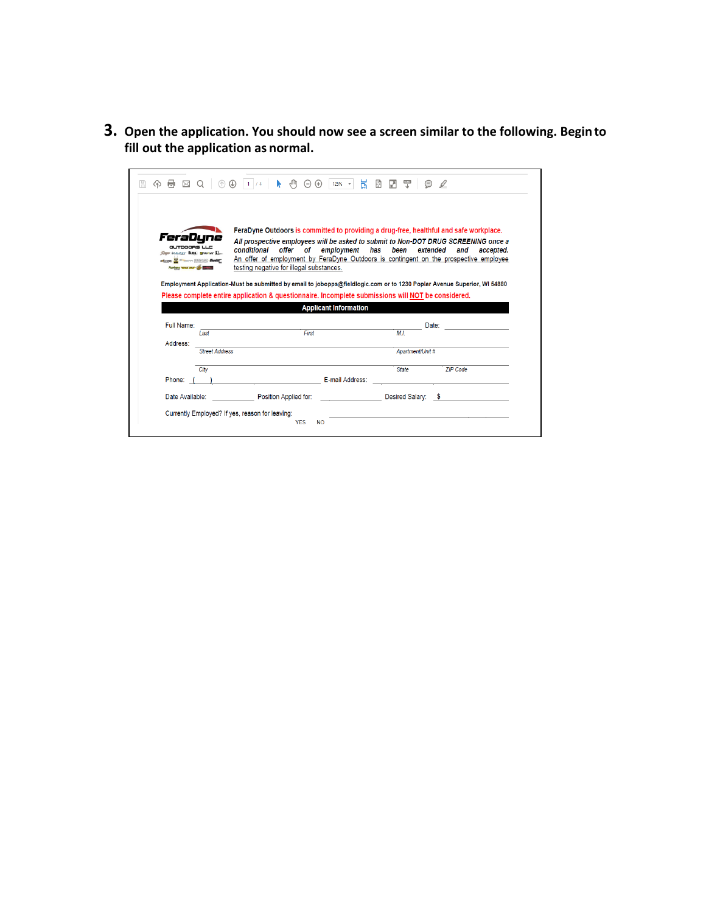**3. Open the application. You should now see a screen similar to the following. Begin to fill out the application as normal.**

| OUTDOORS LLC<br>JOHN WALIZZY BLOCK. ELEVANING D.<br>Achieves Manufacturer (1973-100 Shooter<br>Huntage Hostzt more (2) Hammed | conditional<br>offer<br>of<br>testing negative for illegal substances. | FeraDyne Outdoors is committed to providing a drug-free, healthful and safe workplace.<br>All prospective employees will be asked to submit to Non-DOT DRUG SCREENING once a<br>employment<br>has<br>been<br>extended<br>and<br>accepted.<br>An offer of employment by FeraDyne Outdoors is contingent on the prospective employee |
|-------------------------------------------------------------------------------------------------------------------------------|------------------------------------------------------------------------|------------------------------------------------------------------------------------------------------------------------------------------------------------------------------------------------------------------------------------------------------------------------------------------------------------------------------------|
|                                                                                                                               |                                                                        |                                                                                                                                                                                                                                                                                                                                    |
|                                                                                                                               |                                                                        |                                                                                                                                                                                                                                                                                                                                    |
|                                                                                                                               |                                                                        | Employment Application-Must be submitted by email to jobopps@fieldlogic.com or to 1230 Poplar Avenue Superior, WI 54880                                                                                                                                                                                                            |
|                                                                                                                               | <b>Applicant Information</b>                                           | Please complete entire application & questionnaire. Incomplete submissions will NOT be considered.                                                                                                                                                                                                                                 |
| Full Name:                                                                                                                    |                                                                        | Date:                                                                                                                                                                                                                                                                                                                              |
| Last                                                                                                                          | First                                                                  | ML                                                                                                                                                                                                                                                                                                                                 |
| Address:<br><b>Street Address</b>                                                                                             |                                                                        | Apartment/Unit #                                                                                                                                                                                                                                                                                                                   |
|                                                                                                                               |                                                                        |                                                                                                                                                                                                                                                                                                                                    |
| City                                                                                                                          |                                                                        | <b>State</b><br><b>ZIP Code</b>                                                                                                                                                                                                                                                                                                    |
| Phone:                                                                                                                        |                                                                        | E-mail Address:                                                                                                                                                                                                                                                                                                                    |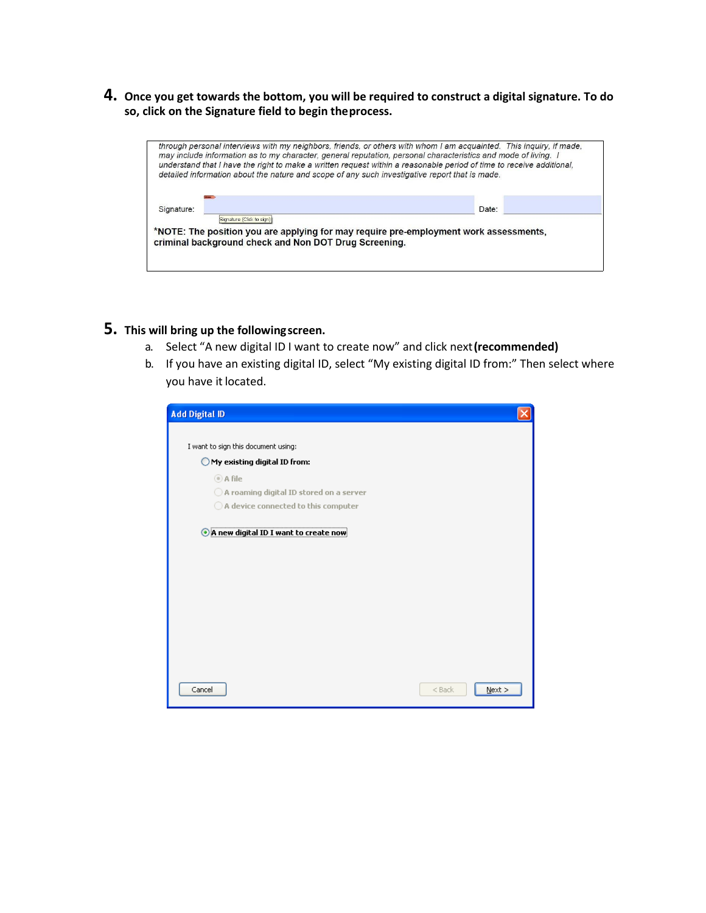**4. Once you get towards the bottom, you will be required to construct a digital signature. To do so, click on the Signature field to begin theprocess.**



## **5. This will bring up the followingscreen.**

- a. Select "A new digital ID I want to create now" and click next**(recommended)**
- b. If you have an existing digital ID, select "My existing digital ID from:" Then select where you have it located.

| <b>Add Digital ID</b>                              |                       |
|----------------------------------------------------|-----------------------|
| I want to sign this document using:                |                       |
| $\bigcirc$ My existing digital ID from:            |                       |
| ◎ A file                                           |                       |
| $\bigcirc$ A roaming digital ID stored on a server |                       |
| $\bigcirc$ A device connected to this computer     |                       |
|                                                    |                       |
| Cancel                                             | $N$ ext ><br>$<$ Back |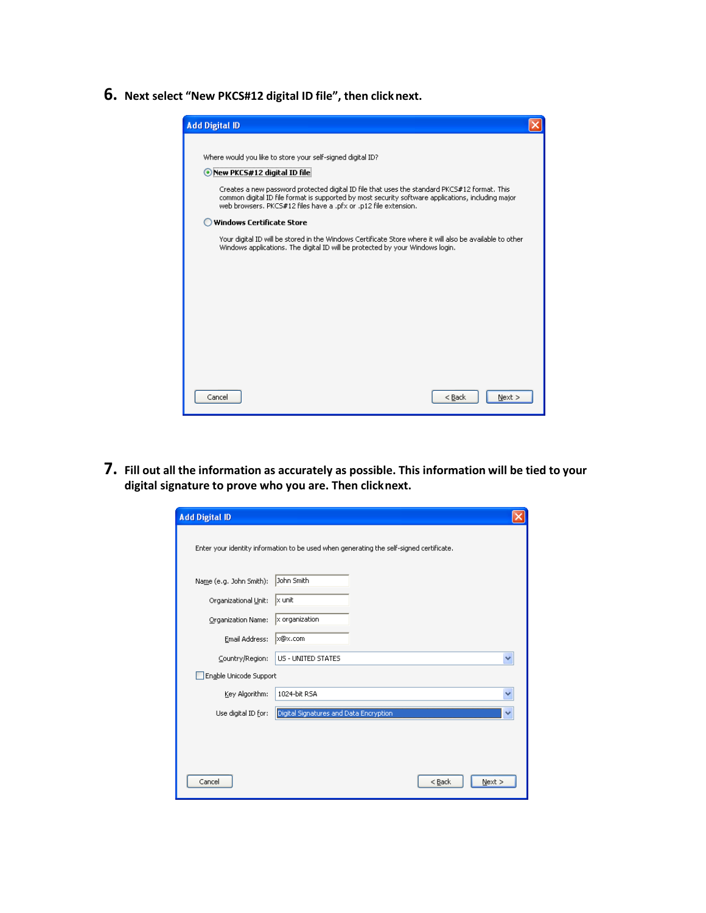**6. Next select "New PKCS#12 digital ID file", then clicknext.**

| <b>Add Digital ID</b>                                                                                                                                                                                                                                                 |  |  |
|-----------------------------------------------------------------------------------------------------------------------------------------------------------------------------------------------------------------------------------------------------------------------|--|--|
|                                                                                                                                                                                                                                                                       |  |  |
| Where would you like to store your self-signed digital ID?                                                                                                                                                                                                            |  |  |
| New PKCS#12 digital ID file                                                                                                                                                                                                                                           |  |  |
| Creates a new password protected digital ID file that uses the standard PKCS#12 format. This<br>common digital ID file format is supported by most security software applications, including major<br>web browsers. PKCS#12 files have a .pfx or .p12 file extension. |  |  |
| <b>Windows Certificate Store</b>                                                                                                                                                                                                                                      |  |  |
| Your digital ID will be stored in the Windows Certificate Store where it will also be available to other<br>Windows applications. The digital ID will be protected by your Windows login.                                                                             |  |  |
|                                                                                                                                                                                                                                                                       |  |  |
|                                                                                                                                                                                                                                                                       |  |  |
|                                                                                                                                                                                                                                                                       |  |  |
|                                                                                                                                                                                                                                                                       |  |  |
|                                                                                                                                                                                                                                                                       |  |  |
|                                                                                                                                                                                                                                                                       |  |  |
|                                                                                                                                                                                                                                                                       |  |  |
| Cancel<br>$<$ Back<br>$Next$ >                                                                                                                                                                                                                                        |  |  |

**7. Fill out all the information as accurately as possible. This information will be tied to your digital signature to prove who you are. Then clicknext.**

| <b>Add Digital ID</b>                                                                   |                                        |          |              |  |
|-----------------------------------------------------------------------------------------|----------------------------------------|----------|--------------|--|
| Enter your identity information to be used when generating the self-signed certificate. |                                        |          |              |  |
| Name (e.g. John Smith):                                                                 | John Smith                             |          |              |  |
| Organizational Unit:                                                                    | x unit                                 |          |              |  |
| Organization Name:                                                                      | $x$ organization                       |          |              |  |
| Email Address:                                                                          | x@x.com                                |          |              |  |
| Country/Region:                                                                         | US - UNITED STATES                     |          | $\checkmark$ |  |
| Enable Unicode Support                                                                  |                                        |          |              |  |
| Key Algorithm:                                                                          | 1024-bit RSA                           |          |              |  |
| Use digital ID for:                                                                     | Digital Signatures and Data Encryption |          |              |  |
|                                                                                         |                                        |          |              |  |
|                                                                                         |                                        |          |              |  |
| Cancel                                                                                  |                                        | $<$ Back | $N$ ext >    |  |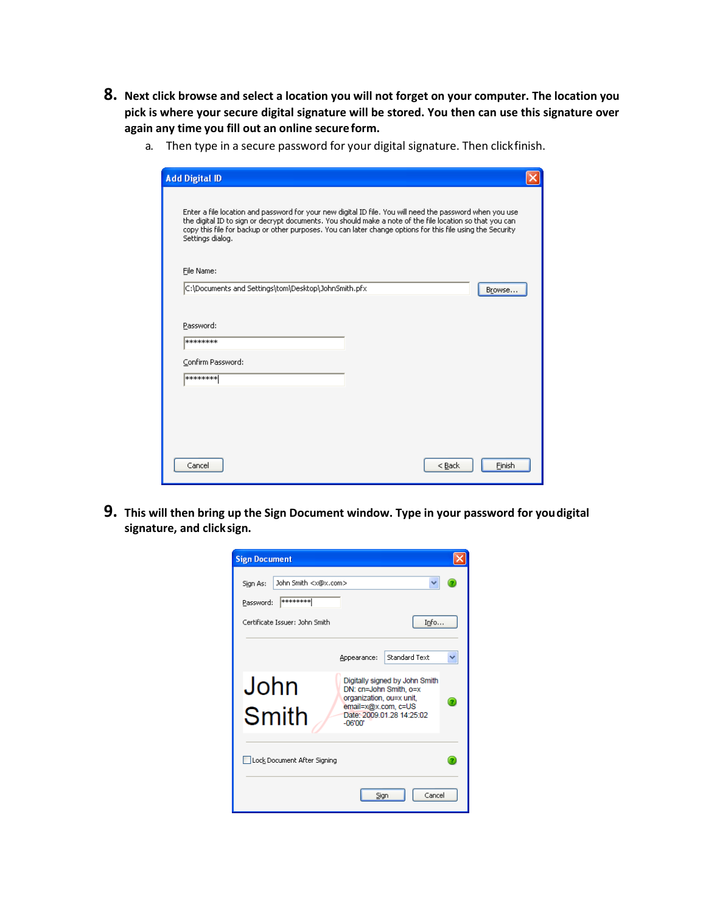- **8. Next click browse and select a location you will not forget on your computer. The location you pick is where your secure digital signature will be stored. You then can use this signature over again any time you fill out an online secureform.**
	- a. Then type in a secure password for your digital signature. Then clickfinish.

| <b>Add Digital ID</b>                                                                                                                                                                                                                                                                                                                                  |        |  |
|--------------------------------------------------------------------------------------------------------------------------------------------------------------------------------------------------------------------------------------------------------------------------------------------------------------------------------------------------------|--------|--|
| Enter a file location and password for your new digital ID file. You will need the password when you use<br>the digital ID to sign or decrypt documents. You should make a note of the file location so that you can<br>copy this file for backup or other purposes. You can later change options for this file using the Security<br>Settings dialog. |        |  |
| File Name:                                                                                                                                                                                                                                                                                                                                             |        |  |
| C:\Documents and Settings\tom\Desktop\JohnSmith.pfx                                                                                                                                                                                                                                                                                                    | Browse |  |
| Password:<br>********<br>Confirm Password:                                                                                                                                                                                                                                                                                                             |        |  |
| ********                                                                                                                                                                                                                                                                                                                                               |        |  |
|                                                                                                                                                                                                                                                                                                                                                        |        |  |
|                                                                                                                                                                                                                                                                                                                                                        |        |  |
| Cancel<br>$<$ Back                                                                                                                                                                                                                                                                                                                                     | Finish |  |

**9. This will then bring up the Sign Document window. Type in your password for youdigital signature, and clicksign.**

| <b>Sign Document</b>                                                   |                                                                                                                                                       |   |
|------------------------------------------------------------------------|-------------------------------------------------------------------------------------------------------------------------------------------------------|---|
| John Smith <x@x.com><br/>Sign As:<br/>********<br/>Password:</x@x.com> |                                                                                                                                                       |   |
| Certificate Issuer: John Smith                                         | Info                                                                                                                                                  |   |
|                                                                        | <b>Standard Text</b><br>Appearance:                                                                                                                   |   |
| John<br>Smith                                                          | Digitally signed by John Smith<br>DN: cn=John Smith, o=x<br>organization, ou=x unit,<br>email=x@x.com, c=US<br>Date: 2009.01.28 14:25:02<br>$-06'00'$ | σ |
| Lock Document After Signing                                            |                                                                                                                                                       |   |
|                                                                        | Cancel<br>Sign                                                                                                                                        |   |